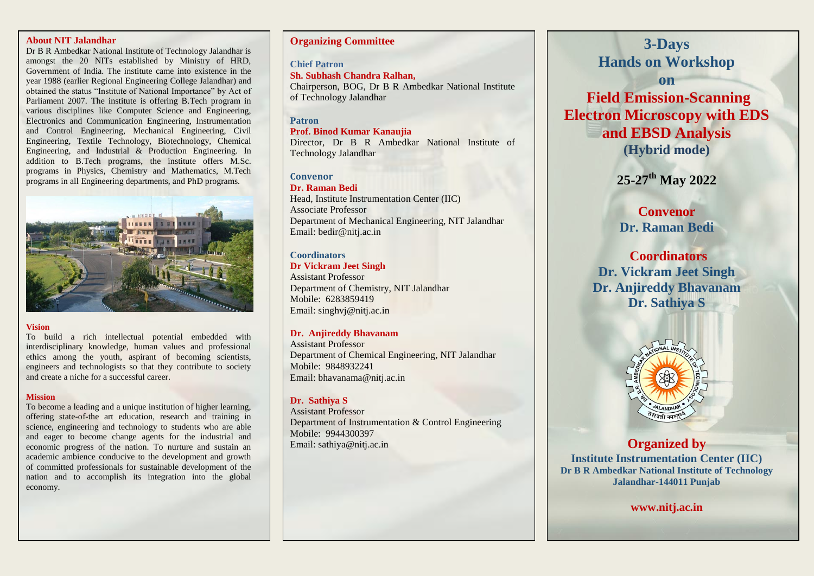#### **About NIT Jalandhar**

Dr B R Ambedkar National Institute of Technology Jalandhar is amongst the 20 NITs established by Ministry of HRD, Government of India. The institute came into existence in the year 1988 (earlier Regional Engineering College Jalandhar) and obtained the status "Institute of National Importance" by Act of Parliament 2007. The institute is offering B.Tech program in various disciplines like Computer Science and Engineering, Electronics and Communication Engineering, Instrumentation and Control Engineering, Mechanical Engineering, Civil Engineering, Textile Technology, Biotechnology, Chemical Engineering, and Industrial & Production Engineering. In addition to B.Tech programs, the institute offers M.Sc. programs in Physics, Chemistry and Mathematics, M.Tech programs in all Engineering departments, and PhD programs.



#### **Vision**

To build a rich intellectual potential embedded with interdisciplinary knowledge, human values and professional ethics among the youth, aspirant of becoming scientists, engineers and technologists so that they contribute to society and create a niche for a successful career.

#### **Mission**

To become a leading and a unique institution of higher learning, offering state-of-the art education, research and training in science, engineering and technology to students who are able and eager to become change agents for the industrial and economic progress of the nation. To nurture and sustain an academic ambience conducive to the development and growth of committed professionals for sustainable development of the nation and to accomplish its integration into the global economy.

# **Organizing Committee**

**Chief Patron Sh. Subhash Chandra Ralhan,**  Chairperson, BOG, Dr B R Ambedkar National Institute of Technology Jalandhar

# **Patron**

# **Prof. Binod Kumar Kanaujia**

Director, Dr B R Ambedkar National Institute of Technology Jalandhar

# **Convenor**

**Dr. Raman Bedi**  Head, Institute Instrumentation Center (IIC) Associate Professor Department of Mechanical Engineering, NIT Jalandhar Email: bedir@nitj.ac.in

# **Coordinators**

#### **Dr Vickram Jeet Singh**

Assistant Professor Department of Chemistry, NIT Jalandhar Mobile: 6283859419 Email: singhvj@nitj.ac.in

# **Dr. Anjireddy Bhavanam**

Assistant Professor Department of Chemical Engineering, NIT Jalandhar Mobile: 9848932241 Email: bhavanama@nitj.ac.in

# **Dr. Sathiya S**

Assistant Professor Department of Instrumentation & Control Engineering Mobile: 9944300397 Email: sathiya@nitj.ac.in

# **3-Days Hands on Workshop**

**on Field Emission-Scanning Electron Microscopy with EDS and EBSD Analysis (Hybrid mode)**

**25**-**27 th May 2022**

**Convenor Dr. Raman Bedi** 

**Coordinators Dr. Vickram Jeet Singh Dr. Anjireddy Bhavanam Dr. Sathiya S**



**Organized by Institute Instrumentation Center (IIC) Dr B R Ambedkar National Institute of Technology Jalandhar-144011 Punjab**

**www.nitj.ac.in**